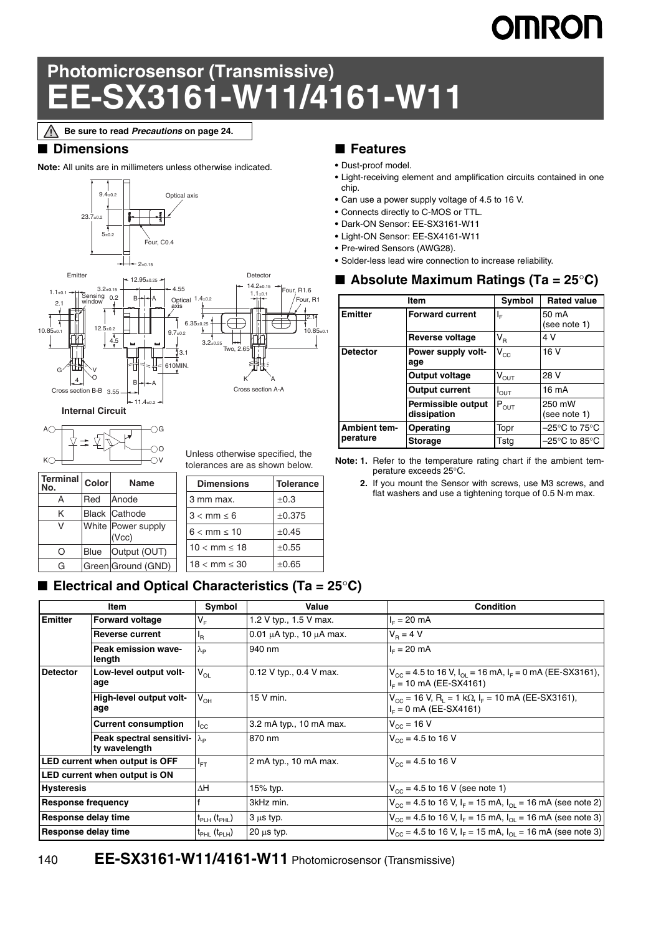# OMRON

## **Photomicrosensor (Transmissive) EE-SX3161-W11/4161-W11**

**Be sure to read** *Precautions* **on page 24.**Λ

#### ■ **Dimensions**

**Note:** All units are in millimeters unless otherwise indicated.





 $\bigcirc$ <sup>O</sup> Unless otherwise specified, the tolerances are as shown below.

| Terminal<br>No. | Color       | Name                          |  | <b>Dimensions</b> | <b>Tolerance</b> |
|-----------------|-------------|-------------------------------|--|-------------------|------------------|
| А               | Red         | Anode                         |  | 3 mm max.         | $\pm 0.3$        |
| Κ               |             | <b>Black Cathode</b>          |  | $3 < mm \leq 6$   | ±0.375           |
| v               |             | White   Power supply<br>(Vcc) |  | $6 < mm \leq 10$  | $\pm 0.45$       |
| O               | <b>Blue</b> | Output (OUT)                  |  | $10 < mm \le 18$  | $\pm 0.55$       |
| G               |             | Green Ground (GND)            |  | $18 < mm \leq 30$ | $\pm 0.65$       |
|                 |             |                               |  |                   |                  |

#### ■ **Electrical and Optical Characteristics (Ta = 25<sup>o</sup>C)**

#### ■ **Features**

- **•** Dust-proof model.
- **•** Light-receiving element and amplification circuits contained in one chip.
- **•** Can use a power supply voltage of 4.5 to 16 V.
- **•** Connects directly to C-MOS or TTL.
- **•** Dark-ON Sensor: EE-SX3161-W11
- **•** Light-ON Sensor: EE-SX4161-W11
- **•** Pre-wired Sensors (AWG28).
- **•** Solder-less lead wire connection to increase reliability.

#### ■ **Absolute Maximum Ratings (Ta = 25<sup>°</sup>C)**

|                     | Item                              | Symbol                     | <b>Rated value</b>                 |
|---------------------|-----------------------------------|----------------------------|------------------------------------|
| <b>Emitter</b>      | <b>Forward current</b>            | ΙF                         | 50 mA<br>(see note 1)              |
|                     | Reverse voltage                   | $\mathsf{V}_\mathsf{R}$    | 4 V                                |
| <b>Detector</b>     | Power supply volt-<br>age         | $\mathsf{V}_{\mathsf{CC}}$ | 16 V                               |
|                     | Output voltage                    | $\rm V_{\rm OUT}$          | 28 V                               |
|                     | <b>Output current</b>             | $I_{\text{OUT}}$           | $16 \text{ mA}$                    |
|                     | Permissible output<br>dissipation | $P_{OUT}$                  | 250 mW<br>(see note 1)             |
| <b>Ambient tem-</b> | Operating                         | Topr                       | $-25^{\circ}$ C to 75 $^{\circ}$ C |
| perature            | <b>Storage</b>                    | Tsta                       | $-25^{\circ}$ C to 85 $^{\circ}$ C |

**Note: 1.** Refer to the temperature rating chart if the ambient temperature exceeds 25°C.

**2.** If you mount the Sensor with screws, use M3 screws, and flat washers and use a tightening torque of 0.5 N·m max.

|                                      |                                                             | Symbol                               | Value                              | <b>Condition</b>                                                                                                        |
|--------------------------------------|-------------------------------------------------------------|--------------------------------------|------------------------------------|-------------------------------------------------------------------------------------------------------------------------|
| Item                                 |                                                             |                                      |                                    |                                                                                                                         |
| <b>Emitter</b>                       | <b>Forward voltage</b>                                      | V <sub>F</sub>                       | 1.2 V typ., 1.5 V max.             | $I_F = 20$ mA                                                                                                           |
|                                      | <b>Reverse current</b>                                      | <sup>I</sup> R                       | 0.01 $\mu$ A typ., 10 $\mu$ A max. | $V_B = 4 V$                                                                                                             |
|                                      | <b>Peak emission wave-</b><br>length                        | $\lambda_{\mathsf{p}}$               | 940 nm                             | $I_{E} = 20$ mA                                                                                                         |
| <b>Detector</b>                      | Low-level output volt-<br>age                               | $V_{OL}$                             | 0.12 V typ., 0.4 V max.            | $V_{\text{CC}}$ = 4.5 to 16 V, I <sub>OI</sub> = 16 mA, I <sub>F</sub> = 0 mA (EE-SX3161),<br>$I_F$ = 10 mA (EE-SX4161) |
|                                      | High-level output volt-<br>age                              | $V_{OH}$                             | 15 V min.                          | $V_{\text{cc}}$ = 16 V, R <sub>1</sub> = 1 kΩ, I <sub>F</sub> = 10 mA (EE-SX3161),<br>$I_F = 0$ mA (EE-SX4161)          |
|                                      | <b>Current consumption</b>                                  | $I_{\rm CC}$                         | 3.2 mA typ., 10 mA max.            | $V_{\text{CC}}$ = 16 V                                                                                                  |
|                                      | Peak spectral sensitivi- $\lambda_{\rm p}$<br>ty wavelength |                                      | 870 nm                             | $V_{\text{cc}}$ = 4.5 to 16 V                                                                                           |
| LED current when output is OFF       |                                                             | $I_{FT}$                             | 2 mA typ., 10 mA max.              | $V_{\text{cc}}$ = 4.5 to 16 V                                                                                           |
| <b>LED current when output is ON</b> |                                                             |                                      |                                    |                                                                                                                         |
| <b>Hysteresis</b>                    |                                                             | $\Delta H$                           | 15% typ.                           | $V_{\text{CC}}$ = 4.5 to 16 V (see note 1)                                                                              |
| <b>Response frequency</b>            |                                                             |                                      | 3kHz min.                          | $V_{CC}$ = 4.5 to 16 V, I <sub>F</sub> = 15 mA, I <sub>OL</sub> = 16 mA (see note 2)                                    |
| <b>Response delay time</b>           |                                                             | $t_{\sf PLH}$ ( $t_{\sf PHL}$ )      | $3 \mu s$ typ.                     | $V_{CC}$ = 4.5 to 16 V, I <sub>F</sub> = 15 mA, I <sub>OL</sub> = 16 mA (see note 3)                                    |
| <b>Response delay time</b>           |                                                             | t <sub>PHL</sub> (t <sub>PLH</sub> ) | $20 \mu s$ typ.                    | $V_{\text{CC}}$ = 4.5 to 16 V, I <sub>F</sub> = 15 mA, I <sub>OI</sub> = 16 mA (see note 3)                             |